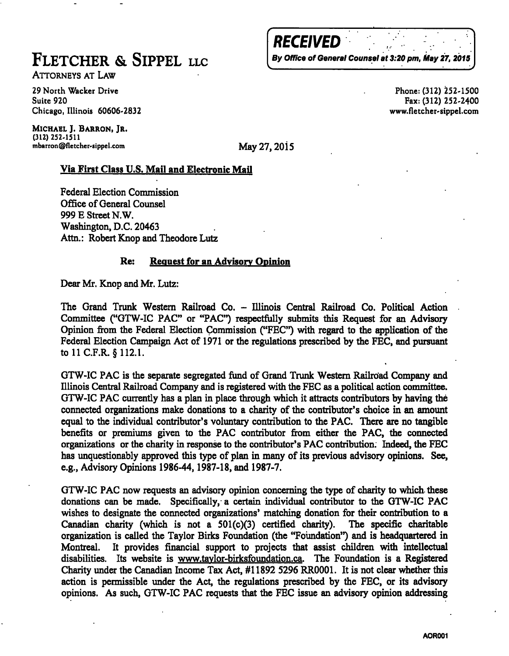ATTORNEYS AT LAW

**29 North Wacker Drive Phone: (312) 252-1500 Suite 920 Fax:(312) 252-2400 Chicago, Illinois 60606-2832 www.fletcher-sippel.com** 

**MICHAEL ]. BARRON, JR. (312) 252-1511**  mbarron@fletcher-sippel.com May 27, 2015

**RECEIVED** 

## Via First Class U.S. Mail and Electronic Mail

Federal Election Commission Office of General Counsel 999 E Street N.W. Washington, D.C. 20463 Attn.: Robert Knop and Theodore Lutz

## Re: Request for an Advisory Opinion

Dear Mr. Knop and Mr. Lutz:

The Grand Trunk Western Railroad Co. - Illinois Central Railroad Co. Political Action Committee ("GTW-IC PAC" or "PAC") respectfully submits this Request for an Advisory Opinion from the Federal Election (Commission ("FEC") with regard to the application of the Federal Election Campaign Act of 1971 or the regulations prescribed by the FEC, and pursuant tollCF.R. §112.1.

GTW-IC PAC is the separate segregated fund of Grand Trunk Westem Railroad Company and Illinois Central Railroad Company and is registered with the FEC as a political action conmittee. GTW-IC PAC currently has a plan in place through which it attracts contributors by having the connected organizations make donations to a charity of the contributor's choice in an amount equal to the individual contributor's voluntary contribution to the PAC. There are no tangible benefits or premiums given to the PAC contributor from either the PAC, the connected organizations or the charity in response to the contributor's PAC contribution. Indeed, the FEC has unquestionably approved this type of plan in many of its previous advisory opinions. See, e.g.. Advisory Opinions 1986-44,1987-18, and 1987-7.

GTW-IC PAC now requests an advisory opinion concerning the type of charity to which these donations can be made. Specifically, a certain individual contributor to the GTW-IC PAC wishes to designate the connected organizations' matching donation for their contribution to a Canadian charity (which is not a 501(c)(3) certified charity). The specific charitable organization is called the Taylor Birks Foundation (the "Foundation") and is headquartered in Montreal. It provides financial support to projects that assist children with intellectual disabilities. Its website is [www.tavlor-birksfoundation.ca.](http://www.tavlor-birksfoundation.ca) The Foundation is a Registered Charity under the Canadian Income Tax Act, #11892 5296 RROOOl. It is not clear whether this action is permissible under the Act, the regulations prescribed by the FEC, or its advisory opinions. As such, GTW-IC PAC requests that the FEC issue an advisory opinion addressing

FLETCHER & SIPPEL LLC By Office of General Counsel at 3:20 pm, May 27, 2015